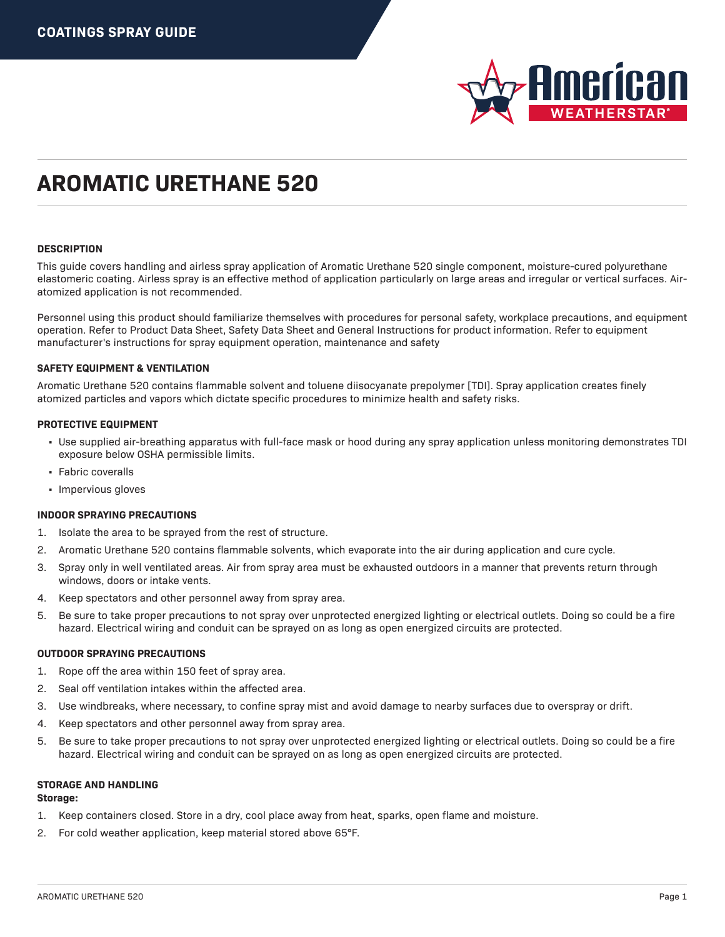

### **DESCRIPTION**

This guide covers handling and airless spray application of Aromatic Urethane 520 single component, moisture-cured polyurethane elastomeric coating. Airless spray is an effective method of application particularly on large areas and irregular or vertical surfaces. Airatomized application is not recommended.

Personnel using this product should familiarize themselves with procedures for personal safety, workplace precautions, and equipment operation. Refer to Product Data Sheet, Safety Data Sheet and General Instructions for product information. Refer to equipment manufacturer's instructions for spray equipment operation, maintenance and safety

#### **SAFETY EQUIPMENT & VENTILATION**

Aromatic Urethane 520 contains flammable solvent and toluene diisocyanate prepolymer [TDI]. Spray application creates finely atomized particles and vapors which dictate specific procedures to minimize health and safety risks.

#### **PROTECTIVE EQUIPMENT**

- Use supplied air-breathing apparatus with full-face mask or hood during any spray application unless monitoring demonstrates TDI exposure below OSHA permissible limits.
- Fabric coveralls
- Impervious gloves

#### **INDOOR SPRAYING PRECAUTIONS**

- 1. Isolate the area to be sprayed from the rest of structure.
- 2. Aromatic Urethane 520 contains flammable solvents, which evaporate into the air during application and cure cycle.
- 3. Spray only in well ventilated areas. Air from spray area must be exhausted outdoors in a manner that prevents return through windows, doors or intake vents.
- 4. Keep spectators and other personnel away from spray area.
- 5. Be sure to take proper precautions to not spray over unprotected energized lighting or electrical outlets. Doing so could be a fire hazard. Electrical wiring and conduit can be sprayed on as long as open energized circuits are protected.

#### **OUTDOOR SPRAYING PRECAUTIONS**

- 1. Rope off the area within 150 feet of spray area.
- 2. Seal off ventilation intakes within the affected area.
- 3. Use windbreaks, where necessary, to confine spray mist and avoid damage to nearby surfaces due to overspray or drift.
- 4. Keep spectators and other personnel away from spray area.
- 5. Be sure to take proper precautions to not spray over unprotected energized lighting or electrical outlets. Doing so could be a fire hazard. Electrical wiring and conduit can be sprayed on as long as open energized circuits are protected.

### **STORAGE AND HANDLING**

## **Storage:**

- 1. Keep containers closed. Store in a dry, cool place away from heat, sparks, open flame and moisture.
- 2. For cold weather application, keep material stored above 65°F.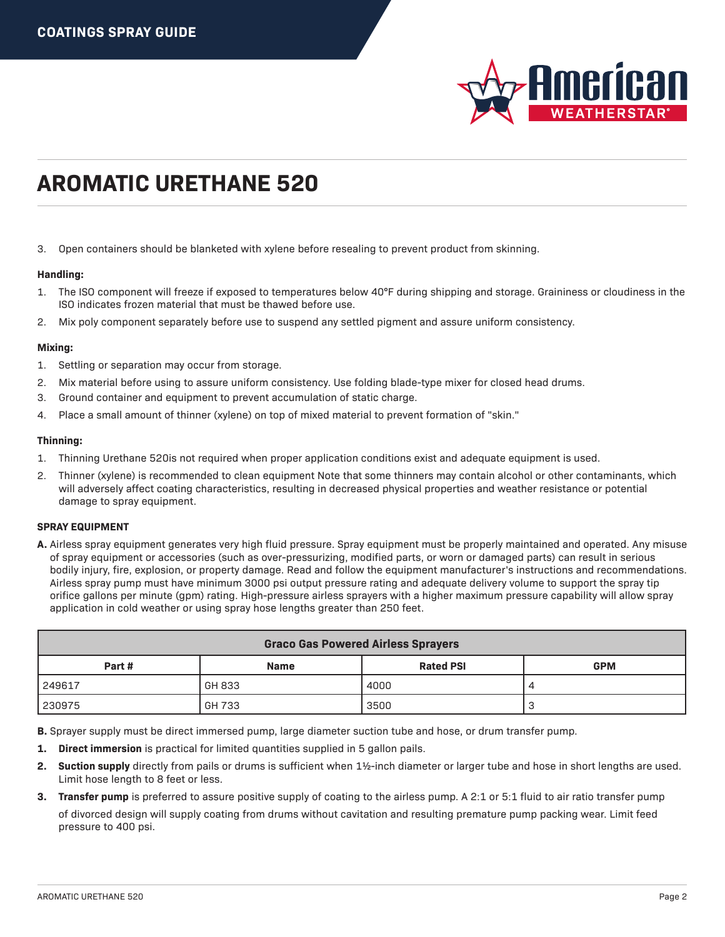

3. Open containers should be blanketed with xylene before resealing to prevent product from skinning.

## **Handling:**

- 1. The ISO component will freeze if exposed to temperatures below 40°F during shipping and storage. Graininess or cloudiness in the ISO indicates frozen material that must be thawed before use.
- 2. Mix poly component separately before use to suspend any settled pigment and assure uniform consistency.

## **Mixing:**

- 1. Settling or separation may occur from storage.
- 2. Mix material before using to assure uniform consistency. Use folding blade-type mixer for closed head drums.
- 3. Ground container and equipment to prevent accumulation of static charge.
- 4. Place a small amount of thinner (xylene) on top of mixed material to prevent formation of "skin."

### **Thinning:**

- 1. Thinning Urethane 520is not required when proper application conditions exist and adequate equipment is used.
- 2. Thinner (xylene) is recommended to clean equipment Note that some thinners may contain alcohol or other contaminants, which will adversely affect coating characteristics, resulting in decreased physical properties and weather resistance or potential damage to spray equipment.

## **SPRAY EQUIPMENT**

**A.** Airless spray equipment generates very high fluid pressure. Spray equipment must be properly maintained and operated. Any misuse of spray equipment or accessories (such as over-pressurizing, modified parts, or worn or damaged parts) can result in serious bodily injury, fire, explosion, or property damage. Read and follow the equipment manufacturer's instructions and recommendations. Airless spray pump must have minimum 3000 psi output pressure rating and adequate delivery volume to support the spray tip orifice gallons per minute (gpm) rating. High-pressure airless sprayers with a higher maximum pressure capability will allow spray application in cold weather or using spray hose lengths greater than 250 feet.

| <b>Graco Gas Powered Airless Sprayers</b> |             |                  |            |  |  |  |  |
|-------------------------------------------|-------------|------------------|------------|--|--|--|--|
| Part #                                    | <b>Name</b> | <b>Rated PSI</b> | <b>GPM</b> |  |  |  |  |
| 249617                                    | GH 833      | 4000             |            |  |  |  |  |
| 230975                                    | GH 733      | 3500             |            |  |  |  |  |

**B.** Sprayer supply must be direct immersed pump, large diameter suction tube and hose, or drum transfer pump.

- **1. Direct immersion** is practical for limited quantities supplied in 5 gallon pails.
- **2. Suction supply** directly from pails or drums is sufficient when 1½-inch diameter or larger tube and hose in short lengths are used. Limit hose length to 8 feet or less.
- **3. Transfer pump** is preferred to assure positive supply of coating to the airless pump. A 2:1 or 5:1 fluid to air ratio transfer pump of divorced design will supply coating from drums without cavitation and resulting premature pump packing wear. Limit feed pressure to 400 psi.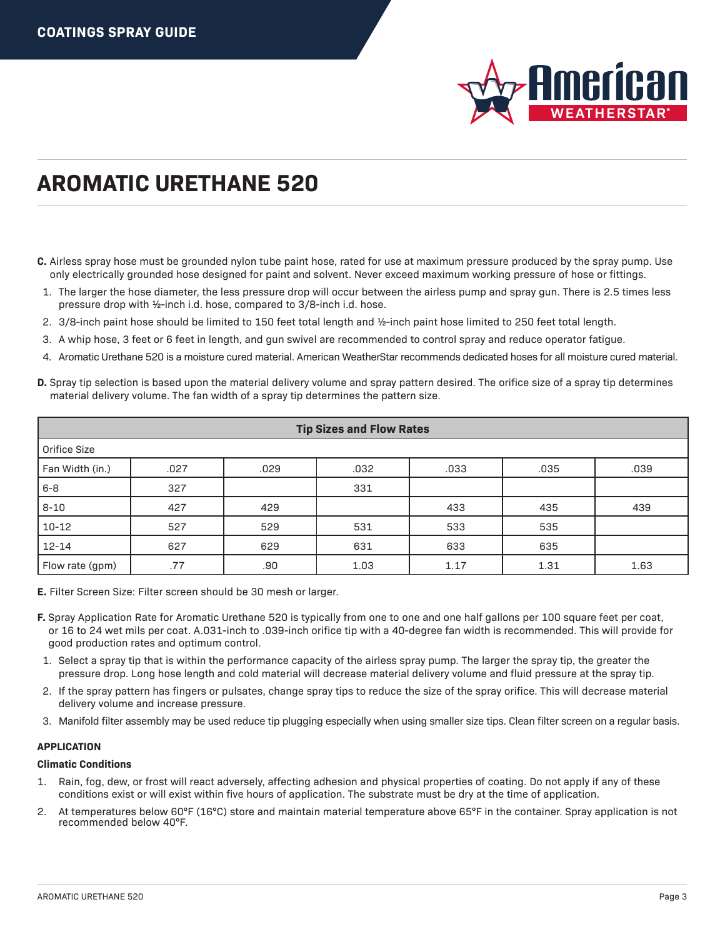

- **C.** Airless spray hose must be grounded nylon tube paint hose, rated for use at maximum pressure produced by the spray pump. Use only electrically grounded hose designed for paint and solvent. Never exceed maximum working pressure of hose or fittings.
- 1. The larger the hose diameter, the less pressure drop will occur between the airless pump and spray gun. There is 2.5 times less pressure drop with ½-inch i.d. hose, compared to 3/8-inch i.d. hose.
- 2. 3/8-inch paint hose should be limited to 150 feet total length and ½-inch paint hose limited to 250 feet total length.
- 3. A whip hose, 3 feet or 6 feet in length, and gun swivel are recommended to control spray and reduce operator fatigue.
- 4. Aromatic Urethane 520 is a moisture cured material. American WeatherStar recommends dedicated hoses for all moisture cured material.
- **D.** Spray tip selection is based upon the material delivery volume and spray pattern desired. The orifice size of a spray tip determines material delivery volume. The fan width of a spray tip determines the pattern size.

| <b>Tip Sizes and Flow Rates</b> |      |      |      |      |      |      |  |  |
|---------------------------------|------|------|------|------|------|------|--|--|
| Orifice Size                    |      |      |      |      |      |      |  |  |
| Fan Width (in.)                 | .027 | .029 | .032 | .033 | .035 | .039 |  |  |
| $6 - 8$                         | 327  |      | 331  |      |      |      |  |  |
| $8 - 10$                        | 427  | 429  |      | 433  | 435  | 439  |  |  |
| $10 - 12$                       | 527  | 529  | 531  | 533  | 535  |      |  |  |
| $12 - 14$                       | 627  | 629  | 631  | 633  | 635  |      |  |  |
| Flow rate (gpm)                 | .77  | .90  | 1.03 | 1.17 | 1.31 | 1.63 |  |  |

**E.** Filter Screen Size: Filter screen should be 30 mesh or larger.

- **F.** Spray Application Rate for Aromatic Urethane 520 is typically from one to one and one half gallons per 100 square feet per coat, or 16 to 24 wet mils per coat. A.031-inch to .039-inch orifice tip with a 40-degree fan width is recommended. This will provide for good production rates and optimum control.
- 1. Select a spray tip that is within the performance capacity of the airless spray pump. The larger the spray tip, the greater the pressure drop. Long hose length and cold material will decrease material delivery volume and fluid pressure at the spray tip.
- 2. If the spray pattern has fingers or pulsates, change spray tips to reduce the size of the spray orifice. This will decrease material delivery volume and increase pressure.
- 3. Manifold filter assembly may be used reduce tip plugging especially when using smaller size tips. Clean filter screen on a regular basis.

## **APPLICATION**

## **Climatic Conditions**

- 1. Rain, fog, dew, or frost will react adversely, affecting adhesion and physical properties of coating. Do not apply if any of these conditions exist or will exist within five hours of application. The substrate must be dry at the time of application.
- 2. At temperatures below 60°F (16°C) store and maintain material temperature above 65°F in the container. Spray application is not recommended below 40°F.